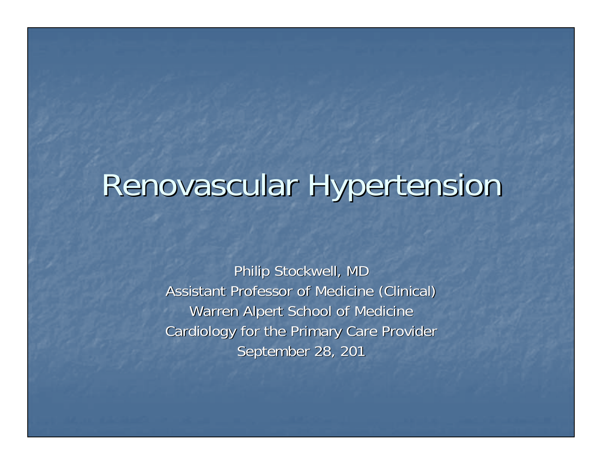## Renovascular Hypertension

Philip Stockwell, MD Assistant Professor of Medicine (Clinical) Assistant Professor of Medicine (Clinical) Warren Alpert School of Medicine Cardiology for the Primary Care Provider September 28, 201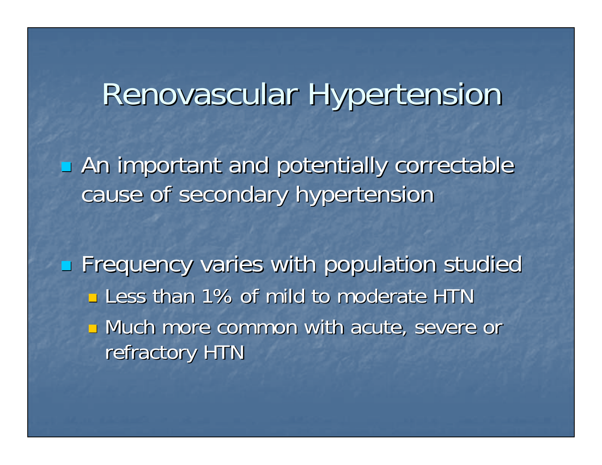### Renovascular Hypertension

**An important and potentially correctable** cause of secondary hypertension

Frequency varies with population studied **Less than 1% of mild to moderate HTN Nuch more common with acute, severe or** refractory HTN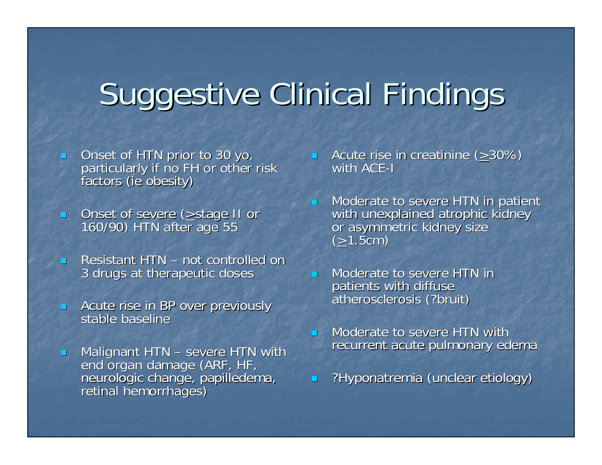# Suggestive Clinical Findings

 $\overline{\phantom{0}}$ 

- $\overline{\phantom{0}}$ Onset of HTN prior to 30 yo, particularly if no FH or other risk factors (ie obesity)
- $\blacksquare$ Onset of severe ( $\geq$ stage II or 160/90) HTN after age 55
- $\overline{\phantom{0}}$ **E** Resistant HTN – not controlled on 3 drugs at therapeutic doses 3 drugs at therapeutic doses
- $\overline{\phantom{0}}$ Acute rise in BP over previously stable baseline
- $\blacksquare$  $\blacksquare$  Malignant HTN – severe HTN with  $\blacksquare$ neurologic change, papilledema, retinal hemorrhages)
- **Acute rise in creatinine (** $\geq$ **30%)** with ACE-I $\,$
- n. Moderate to severe HTN in patient<br>with unexplained atrophic kidney<br>or asymmetric kidney size  $(\geq 1.5cm)$
- $\overline{\phantom{0}}$ Moderate to severe HTN in patients with diffuse<br>atherosclerosis (?bruit)
- $\overline{\phantom{0}}$ Moderate to severe HTN with recurrent acute pulmonary edema
- $\blacksquare$ ?Hyponatremia (unclear etiology) ?Hyponatremia (unclear etiology)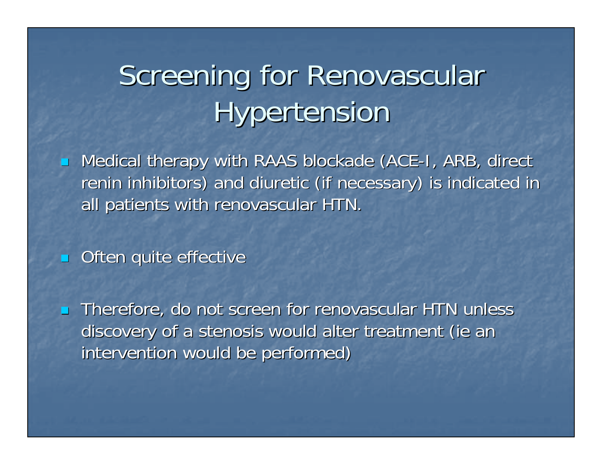### Screening for Renovascular **Hypertension**

 $\mathbb{R}^2$ **- Medical therapy with RAAS blockade (ACE-I, ARB, direct** renin inhibitors) and diuretic (if necessary) is indicated in all patients with renovascular HTN.

 $\overline{\phantom{0}}$ Often quite effective

 $\overline{\phantom{0}}$ Therefore, do not screen for renovascular HTN unless discovery of a stenosis would alter treatment (ie an intervention would be performed)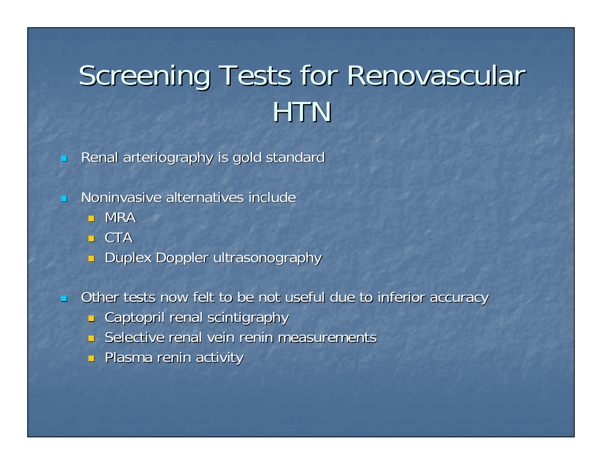### Screening Tests for Renovascular **HTN**

 $\overline{\phantom{0}}$ Renal arteriography is gold standard

 $\blacksquare$  $\blacksquare$  Noninvasive alternatives include

- $\blacksquare$  MRA
- $\blacksquare$  CTA
- $\Box$  Duplex Doppler ultrasonography
- $\blacksquare$ Other tests now felt to be not useful due to inferior accuracy
	- $\Box$  Captopril renal scintigraphy
	- $\blacksquare$  Selective renal vein renin measurements
	- **Plasma renin activity**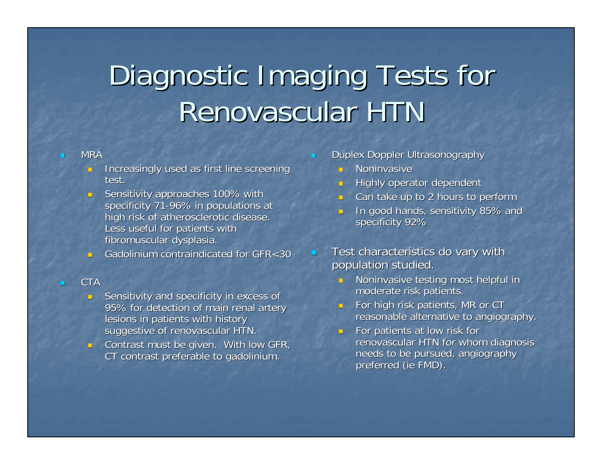### Diagnostic Imaging Tests for Renovascular HTN

#### **MRA**

- **Increasingly used as first line screening** test.
- Sensitivity approaches 100% with specificity 71-96% in populations at high risk of atherosclerotic disease. Less useful for patients with fibromuscular dysplasia.
- Gadolinium contraindicated for GFR $<$ 30

#### CTA

- **B** Sensitivity and specificity in excess of 95% for detection of main renal artery lesions in patients with history suggestive of renovascular HTN.
- a. Contrast must be given. With low GFR, CT contrast preferable to gadolinium.
- Duplex Doppler Ultrasonography
	- $\blacksquare$  Noninvasive
	- П Highly operator dependent
	- $\overline{\phantom{0}}$ Can take up to 2 hours to perform
	- $\overline{\phantom{0}}$ In good hands, sensitivity 85% and specificity 92%
- Test characteristics do vary with population studied.
	- **Noninvasive testing most helpful in** moderate risk patients.
	- $\overline{\phantom{0}}$ For high risk patients, MR or CT reasonable alternative to angiography.
	- **For patients at low risk for**  $\blacksquare$ renovascular HTN for whom diagnosis needs to be pursued, angiography preferred (ie FMD).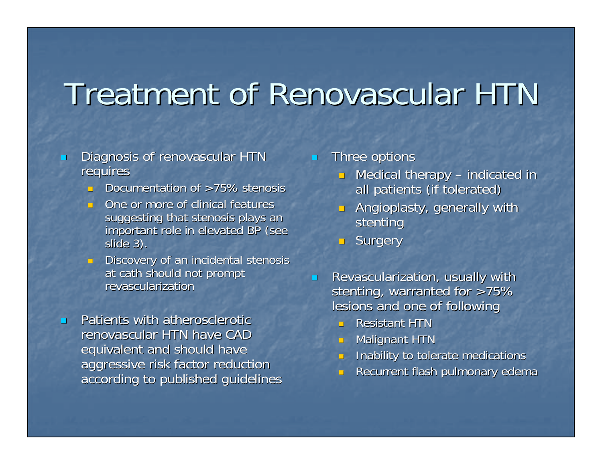### Treatment of Renovascular HTN

- $\overline{\phantom{0}}$ Diagnosis of renovascular HTN requires
	- **Documentation of >75% stenosis**
	- $\overline{\phantom{0}}$ One or more of clinical features suggesting that stenosis plays an important role in elevated BP (see slide 3).
	- **Discovery of an incidental stenosis** at cath should not prompt revascularization
- $\overline{\phantom{0}}$ Patients with atherosclerotic renovascular HTN have CAD equivalent and should have aggressive risk factor reduction according to published guidelines
- $\blacksquare$ Three options
	- $\Box$  Medical therapy indicated in all patients (if tolerated)
	- ×. Angioplasty, generally with stenting
	- **Burgery**
- L. Revascularization, usually with stenting, warranted for  $>75%$ lesions and one of following
	- **Resistant HTN**
	- ٠ **Malignant HTN**
	- o. Inability to tolerate medications
	- $\overline{\phantom{0}}$ Recurrent flash pulmonary edema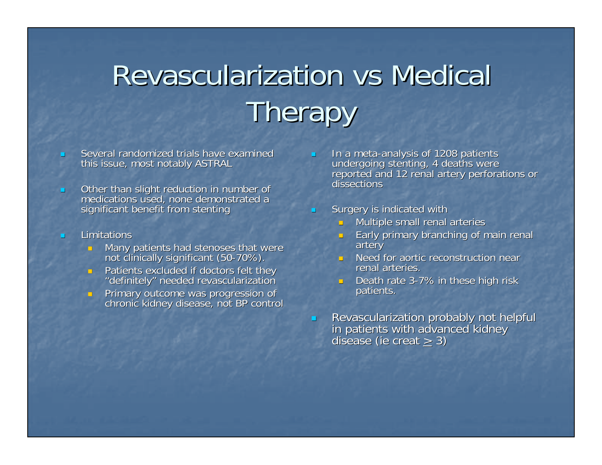## **Revascularization vs Medical Therapy**

- Several randomized trials have examined this issue, most notably ASTRAL
- $\blacksquare$ Other than slight reduction in number of medications used, none demonstrated a significant benefit from stenting
- $\overline{\phantom{0}}$ **Limitations** 
	- Many patients had stenoses that were Many patients stenoses that were not clinically significant (50 not clinically significant (50-70%).
	- $\overline{\phantom{0}}$ Patients excluded if doctors felt they "definitely" needed revascularization
	- Primary outcome was progression of chronic kidney disease, not BP control
- In a meta-analysis of 1208 patients<br>undergoing stenting, 4 deaths were<br>reported and 12 renal artery perforations or dissections
- Surgery is indicated with
	- $\Box$  Multiple small renal arteries
	- **Early primary branching of main renal** artery
	- $\blacksquare$  Need for aortic reconstruction near renal arteries.
	- Death rate 3-7% in these high risk<br>19 patients.
- $\blacksquare$ Revascularization probably not helpful in patients with advanced kidney in patients with advanced kidney in patients with advanced kidney disease (ie creat  $\geq 3$ )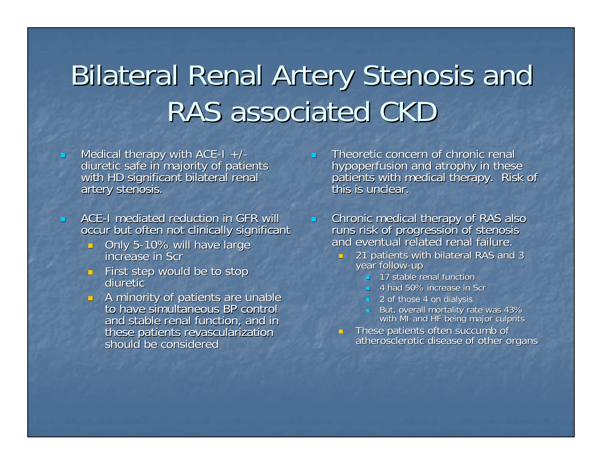### **Bilateral Renal Artery Stenosis and** RAS associated CKD

- $\blacksquare$ Medical therapy with ACE-I  $+/-$ <br>diuretic safe in majority of patients<br>with HD significant bilateral renal<br>artery stenosis.
	- ACE-I mediated reduction in GFR will occur but often not clinically significant
		- Only 5-10% will have large 10% will have large increase in Scrincrease in Scr
		- $\blacksquare$  First step would be to stop<br>diuretic diuretic
		- $\blacksquare$  A minority of patients are unable<br>to have simultaneous BP control to have simultaneous BP control and stable renal function, and in these patients revascularization should be considered
- Theoretic concern of chronic renal hypoperfusion and atrophy in these<br>patients with medical therapy. Risk of this is unclear.
- $\blacksquare$  Chronic medical therapy of RAS also Chronic medical therapy of RAS also runs risk of progression of stenosis runs risk of progression of stenosis and eventual related renal failure. and eventual related renal failure.
	- $\textcolor{red}{\bullet}$  21 patients with bilateral RAS and 3 year follow-up
		- 17 stable renal function
		- 4 had 50% increase in Scr 4 had 50% increase in Scr
		- $\blacksquare$  2 of those 4 on dialysis
		- But, overall mortality rate was 43% with MI and HF being major culprits
	- These patients often succumb of atherosclerotic disease of other organs